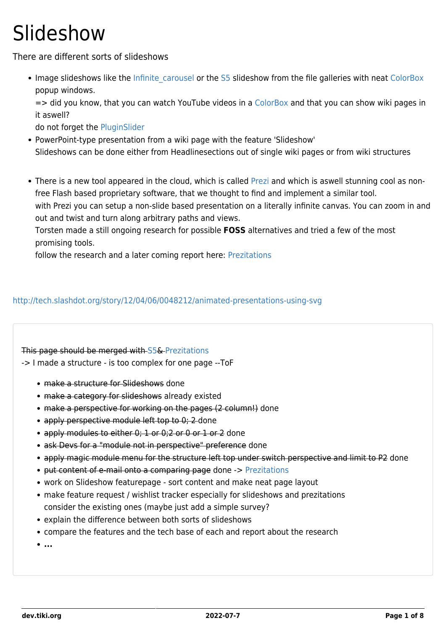## **Slideshow**

There are different sorts of slideshows

• Image slideshows like the Infinite carousel or the [S5](https://dev.tiki.org/S5) slideshow from the file galleries with neat [ColorBox](http://doc.tiki.org/ColorBox) popup windows.

=> did you know, that you can watch YouTube videos in a [ColorBox](http://doc.tiki.org/ColorBox) and that you can show wiki pages in it aswell?

do not forget the [PluginSlider](http://doc.tiki.org/PluginSlider)

- PowerPoint-type presentation from a wiki page with the feature 'Slideshow' Slideshows can be done either from Headlinesections out of single wiki pages or from wiki structures
- There is a new tool appeared in the cloud, which is called [Prezi](http://prezi.com) and which is aswell stunning cool as nonfree Flash based proprietary software, that we thought to find and implement a similar tool. with Prezi you can setup a non-slide based presentation on a literally infinite canvas. You can zoom in and

out and twist and turn along arbitrary paths and views.

Torsten made a still ongoing research for possible **FOSS** alternatives and tried a few of the most promising tools.

follow the research and a later coming report here: [Prezitations](https://dev.tiki.org/Prezitations)

### <http://tech.slashdot.org/story/12/04/06/0048212/animated-presentations-using-svg>

#### This page should be merged with [S5&](https://dev.tiki.org/S5) [Prezitations](https://dev.tiki.org/Prezitations)

-> I made a structure - is too complex for one page --ToF

- make a structure for Slideshows done
- make a category for slideshows already existed
- make a perspective for working on the pages (2 column!) done
- apply perspective module left top to 0; 2-done
- apply modules to either 0; 1 or 0;2 or 0 or 1 or 2 done
- ask Devs for a "module not in perspective" preference done
- apply magic module menu for the structure left top under switch perspective and limit to P2 done
- put content of e-mail onto a comparing page done -> [Prezitations](https://dev.tiki.org/Prezitations)
- work on Slideshow featurepage sort content and make neat page layout
- make feature request / wishlist tracker especially for slideshows and prezitations consider the existing ones (maybe just add a simple survey?
- explain the difference between both sorts of slideshows
- compare the features and the tech base of each and report about the research

**...**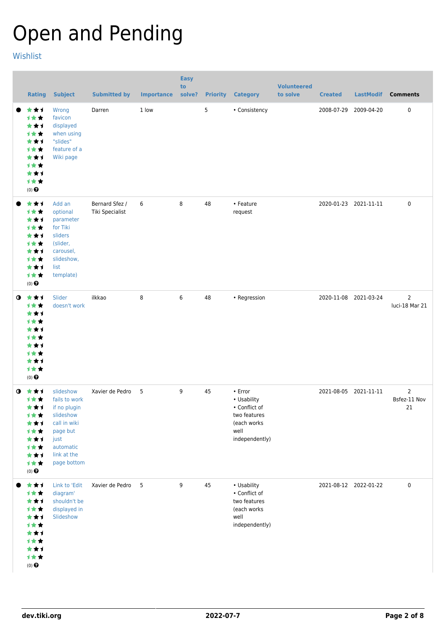# Open and Pending

[Wishlist](https://dev.tiki.org/Wishlist)

|             | <b>Rating</b>                                                                                 | <b>Subject</b>                                                                                                                         | <b>Submitted by</b>               | <b>Importance</b> | <b>Easy</b><br>to<br>solve? |    | <b>Priority Category</b>                                                                               | <b>Volunteered</b><br>to solve | <b>Created</b> | <b>LastModif</b>      | <b>Comments</b>                      |
|-------------|-----------------------------------------------------------------------------------------------|----------------------------------------------------------------------------------------------------------------------------------------|-----------------------------------|-------------------|-----------------------------|----|--------------------------------------------------------------------------------------------------------|--------------------------------|----------------|-----------------------|--------------------------------------|
|             | ***<br>1★★<br>***<br>计女女<br>***<br>计女女<br>***<br>1★★<br>***<br>计女女<br>$(0)$ $\Theta$          | Wrong<br>favicon<br>displayed<br>when using<br>"slides"<br>feature of a<br>Wiki page                                                   | Darren                            | 1 low             |                             | 5  | • Consistency                                                                                          |                                | 2008-07-29     | 2009-04-20            | $\pmb{0}$                            |
|             | ***<br>1★★<br>***<br>计女女<br>***<br>1★★<br>***<br>计女女<br>***<br>计女女<br>$(0)$ $\odot$           | Add an<br>optional<br>parameter<br>for Tiki<br>sliders<br>(slider,<br>carousel,<br>slideshow,<br>list<br>template)                     | Bernard Sfez /<br>Tiki Specialist | 6                 | 8                           | 48 | • Feature<br>request                                                                                   |                                |                | 2020-01-23 2021-11-11 | $\mathbf 0$                          |
| $\bullet$   | 大大大<br>计女女<br>***<br>计女女<br>***<br>计女女<br>***<br>计女女<br>***<br>计女女<br>$(0)$ $\Theta$          | Slider<br>doesn't work                                                                                                                 | ilkkao                            | 8                 | 6                           | 48 | • Regression                                                                                           |                                |                | 2020-11-08 2021-03-24 | $\overline{2}$<br>luci-18 Mar 21     |
| $\mathbf o$ | ***<br>计女女<br>***<br>计女女<br>***<br>计女女<br>***<br>计女女<br>***<br>计女女<br>$(0)$<br>$\pmb{\Theta}$ | slideshow<br>fails to work<br>if no plugin<br>slideshow<br>call in wiki<br>page but<br>just<br>automatic<br>link at the<br>page bottom | Xavier de Pedro                   | 5                 | 9                           | 45 | $\cdot$ Error<br>• Usability<br>• Conflict of<br>two features<br>(each works<br>well<br>independently) |                                |                | 2021-08-05 2021-11-11 | $\overline{2}$<br>Bsfez-11 Nov<br>21 |
|             | ***<br>计女女<br>***<br>计女女<br>***<br>计女女<br>***<br>计女女<br>***<br>计女女<br>$(0)$ $\bigodot$        | Link to 'Edit<br>diagram'<br>shouldn't be<br>displayed in<br>Slideshow                                                                 | Xavier de Pedro                   | $5^{\circ}$       | 9                           | 45 | • Usability<br>• Conflict of<br>two features<br>(each works<br>well<br>independently)                  |                                |                | 2021-08-12 2022-01-22 | $\pmb{0}$                            |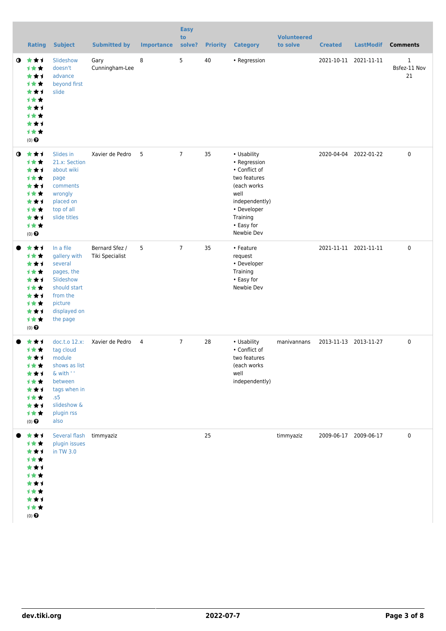|             | <b>Rating</b>                                                                                      | <b>Subject</b>                                                                                                                             | <b>Submitted by</b>               | <b>Importance</b> | <b>Easy</b><br>to<br>solve? | <b>Priority</b> | <b>Category</b>                                                                                                                                               | <b>Volunteered</b><br>to solve | <b>Created</b> | <b>LastModif</b>      | <b>Comments</b>                    |
|-------------|----------------------------------------------------------------------------------------------------|--------------------------------------------------------------------------------------------------------------------------------------------|-----------------------------------|-------------------|-----------------------------|-----------------|---------------------------------------------------------------------------------------------------------------------------------------------------------------|--------------------------------|----------------|-----------------------|------------------------------------|
| $\mathbf 0$ | 大大才<br>计女女<br>***<br><b>1**</b><br>***<br>1★★<br>***<br><b>1**</b><br>***<br>计女女<br>$(0)$ $\Theta$ | Slideshow<br>doesn't<br>advance<br>beyond first<br>slide                                                                                   | Gary<br>Cunningham-Lee            | 8                 | 5                           | 40              | • Regression                                                                                                                                                  |                                |                | 2021-10-11 2021-11-11 | $\mathbf{1}$<br>Bsfez-11 Nov<br>21 |
| $\bullet$   | ***<br>计女女<br>***<br>计女女<br>***<br>计女女<br>***<br>计女女<br>★★1<br>计女女<br>$(0)$ $\odot$                | Slides in<br>21.x: Section<br>about wiki<br>page<br>comments<br>wrongly<br>placed on<br>top of all<br>slide titles                         | Xavier de Pedro                   | 5                 | $\overline{7}$              | 35              | • Usability<br>• Regression<br>• Conflict of<br>two features<br>(each works)<br>well<br>independently)<br>• Developer<br>Training<br>• Easy for<br>Newbie Dev |                                |                | 2020-04-04 2022-01-22 | $\pmb{0}$                          |
|             | ***<br>计女女<br>***<br>计女女<br>***<br><b>1**</b><br>***<br>计女女<br>***<br>计女女<br>$(0)$ $\Theta$        | In a file<br>gallery with<br>several<br>pages, the<br>Slideshow<br>should start<br>from the<br>picture<br>displayed on<br>the page         | Bernard Sfez /<br>Tiki Specialist | 5                 | $\overline{7}$              | 35              | • Feature<br>request<br>• Developer<br>Training<br>• Easy for<br>Newbie Dev                                                                                   |                                |                | 2021-11-11 2021-11-11 | $\pmb{0}$                          |
|             | **1<br><b>1**</b><br>***<br>计女女<br>***<br>计女女<br>***<br>计女女<br>***<br>计女女<br>$(0)$ $\bigodot$      | doc.t.o 12.x:<br>tag cloud<br>module<br>shows as list<br>& with ' '<br>between<br>tags when in<br>.55<br>slideshow &<br>plugin rss<br>also | Xavier de Pedro                   | $\overline{4}$    | $\overline{7}$              | 28              | • Usability<br>• Conflict of<br>two features<br>(each works<br>well<br>independently)                                                                         | manivannans                    |                | 2013-11-13 2013-11-27 | $\pmb{0}$                          |
|             | ***<br>计女女<br>***<br>计女女<br>***<br><b>1**</b><br>***<br>计女女<br>***<br>1★★<br>$(0)$ $\Theta$        | Several flash timmyaziz<br>plugin issues<br>in TW 3.0                                                                                      |                                   |                   |                             | 25              |                                                                                                                                                               | timmyaziz                      |                | 2009-06-17 2009-06-17 | $\pmb{0}$                          |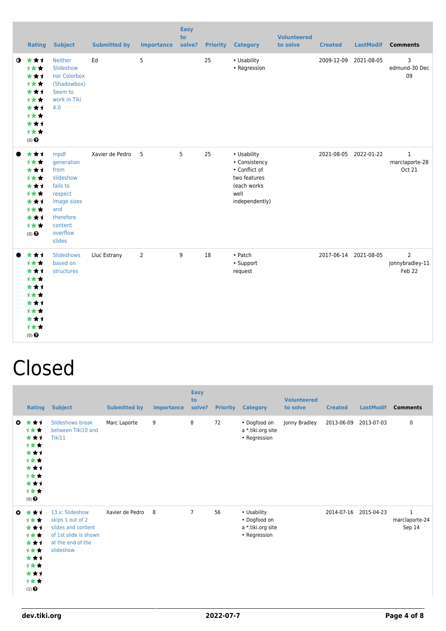|           | Rating                                                                                            | <b>Subject</b>                                                                                                                     | <b>Submitted by</b> | <b>Importance</b> | <b>Easy</b><br>to<br>solve? |    | <b>Priority Category</b>                                                                               | <b>Volunteered</b><br>to solve | <b>Created</b> | <b>LastModif</b>      | <b>Comments</b>                                 |
|-----------|---------------------------------------------------------------------------------------------------|------------------------------------------------------------------------------------------------------------------------------------|---------------------|-------------------|-----------------------------|----|--------------------------------------------------------------------------------------------------------|--------------------------------|----------------|-----------------------|-------------------------------------------------|
| $\bullet$ | 食食す<br>1★★<br>***<br>1★★<br>***<br>计女女<br>***<br><b>1**</b><br>***<br>1★★<br>$(0)$ $\Theta$       | <b>Neither</b><br>Slideshow<br>nor Colorbox<br>(Shadowbox)<br>Seem to<br>work in Tiki<br>4.0                                       | Ed                  | 5                 |                             | 25 | • Usability<br>• Regression                                                                            |                                | 2009-12-09     | 2021-08-05            | 3<br>edmund-30 Dec<br>09                        |
|           | ***<br>1★★<br>***<br>1★★<br>***<br>1★★<br>***<br><b>1**</b><br>***<br>1★★<br>$(0)$ $\Theta$       | mpdf<br>generation<br>from<br>slideshow<br>fails to<br>respect<br>image sizes<br>and<br>therefore<br>content<br>overflow<br>slides | Xavier de Pedro     | 5                 | 5                           | 25 | • Usability<br>• Consistency<br>• Conflict of<br>two features<br>(each works<br>well<br>independently) |                                |                | 2021-08-05 2022-01-22 | $\mathbf{1}$<br>marclaporte-28<br><b>Oct 21</b> |
|           | ***<br>1★★<br>***<br>1★★<br>***<br><b>1**</b><br>***<br><b>1**</b><br>***<br>1★★<br>$(0)$ $\odot$ | Slideshows<br>based on<br>structures                                                                                               | Lluc Estrany        | $\overline{2}$    | 9                           | 18 | • Patch<br>• Support<br>request                                                                        |                                |                | 2017-06-14 2021-08-05 | $\overline{2}$<br>jonnybradley-11<br>Feb 22     |

## Closed

|           | Rating                                                                              | <b>Subject</b>                                                                                                       | <b>Submitted by</b> | Importance | <b>Easy</b><br>to<br>solve? | <b>Priority</b> | <b>Category</b>                                                  | <b>Volunteered</b><br>to solve | <b>Created</b> | <b>LastModif</b> | <b>Comments</b>                          |
|-----------|-------------------------------------------------------------------------------------|----------------------------------------------------------------------------------------------------------------------|---------------------|------------|-----------------------------|-----------------|------------------------------------------------------------------|--------------------------------|----------------|------------------|------------------------------------------|
| $\bullet$ | ***<br>***<br>***<br>1★★<br>***<br>1★★<br>***<br>1★★<br>***<br>1★★<br>$(0)$ $\odot$ | Slideshows break<br>between Tiki10 and<br>Tiki11                                                                     | Marc Laporte        | 9          | 8                           | 72              | • Dogfood on<br>a *.tiki.org site<br>• Regression                | Jonny Bradley                  | 2013-06-09     | 2013-07-03       | 0                                        |
| $\bullet$ | ***<br>1★★<br>***<br>1**<br>***<br>1★★<br>***<br>1★★<br>***<br>计女女<br>$(1)$ $\odot$ | 13.x: Slideshow<br>skips 1 out of 2<br>slides and content<br>of 1st slide is shown<br>at the end of the<br>slideshow | Xavier de Pedro     | 8          | $\overline{7}$              | 56              | • Usability<br>• Dogfood on<br>a *.tiki.org site<br>• Regression |                                | 2014-07-16     | 2015-04-23       | $\mathbf{1}$<br>marclaporte-24<br>Sep 14 |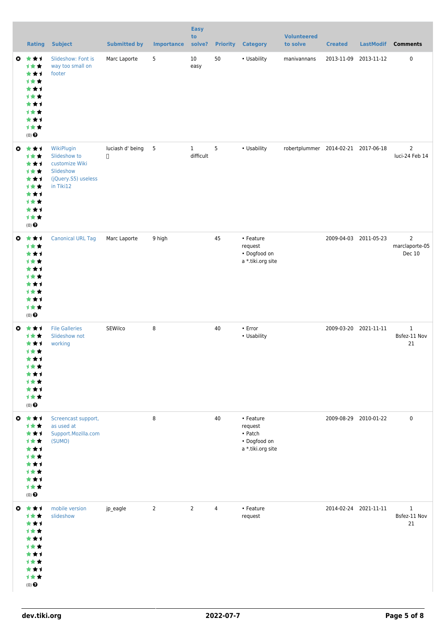| <b>Rating</b>                                                                                            | <b>Subject</b>                                                                                | <b>Submitted by</b>        | <b>Importance</b> | <b>Easy</b><br>to<br>solve? |                | <b>Priority Category</b>                                                     | <b>Volunteered</b><br>to solve      | <b>Created</b> | <b>LastModif</b>      | <b>Comments</b>                            |
|----------------------------------------------------------------------------------------------------------|-----------------------------------------------------------------------------------------------|----------------------------|-------------------|-----------------------------|----------------|------------------------------------------------------------------------------|-------------------------------------|----------------|-----------------------|--------------------------------------------|
| $0 \star \star \star$<br>1★★<br>***<br>计女女<br>***<br>1★★<br>***<br>1★★<br>***<br>计女女<br>$(0)$ $\odot$    | Slideshow: Font is<br>way too small on<br>footer                                              | Marc Laporte               | 5                 | 10<br>easy                  | 50             | • Usability                                                                  | manivannans                         | 2013-11-09     | 2013-11-12            | $\mathbf 0$                                |
| $0 \star \star \star$<br>1★★<br>***<br>计女女<br>***<br>计女女<br>***<br>1★★<br>***<br>计女女<br>$(0)$ $\odot$    | WikiPlugin<br>Slideshow to<br>customize Wiki<br>Slideshow<br>(jQuery.S5) useless<br>in Tiki12 | luciash d' being<br>$\Box$ | 5                 | $\mathbf{1}$<br>difficult   | 5              | • Usability                                                                  | robertplummer 2014-02-21 2017-06-18 |                |                       | $\overline{2}$<br>luci-24 Feb 14           |
| $0 \star \star \star$<br>计女女<br>***<br>1★★<br>***<br>计女女<br>***<br>1★★<br>***<br>计女女<br>$(0)$ $\odot$    | <b>Canonical URL Tag</b>                                                                      | Marc Laporte               | 9 high            |                             | 45             | • Feature<br>request<br>• Dogfood on<br>a *.tiki.org site                    |                                     |                | 2009-04-03 2011-05-23 | $\overline{2}$<br>marclaporte-05<br>Dec 10 |
| $0 \star \star \star$<br>1★★<br>***<br>1★★<br>***<br>计女女<br>* * 1<br>1★★<br>***<br>计女女<br>$(0)$ $\odot$  | <b>File Galleries</b><br>Slideshow not<br>working                                             | SEWilco                    | 8                 |                             | $40\,$         | • Error<br>• Usability                                                       |                                     |                | 2009-03-20 2021-11-11 | $\mathbf{1}$<br>Bsfez-11 Nov<br>21         |
| $0 \star \star \star$<br>计女女<br>***<br>1★★<br>***<br>1★★<br>***<br>计女女<br>***<br>计女女<br>$(0)$ $\odot$    | Screencast support,<br>as used at<br>Support.Mozilla.com<br>(SUMO)                            |                            | 8                 |                             | 40             | • Feature<br>request<br>$\bullet$ Patch<br>• Dogfood on<br>a *.tiki.org site |                                     |                | 2009-08-29 2010-01-22 | $\mathsf{O}$                               |
| $0 \star \star \star$<br>计女女<br>***<br>计女女<br>***<br>计女女<br>***<br>计女女<br>***<br>计女女<br>$(0)$ $\bigodot$ | mobile version<br>slideshow                                                                   | jp_eagle                   | $\overline{2}$    | $\overline{2}$              | $\overline{4}$ | • Feature<br>request                                                         |                                     |                | 2014-02-24 2021-11-11 | $\mathbf{1}$<br>Bsfez-11 Nov<br>21         |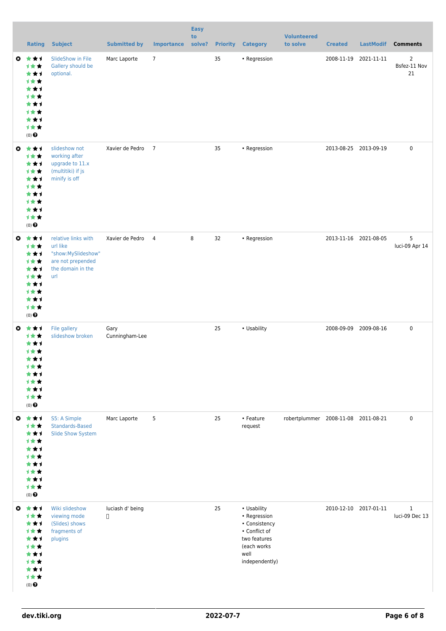|           | <b>Rating</b>                                                                                                | <b>Subject</b>                                                                                         | <b>Submitted by</b>        | <b>Importance</b> | <b>Easy</b><br>to<br>solve? |    | <b>Priority Category</b>                                                                                               | <b>Volunteered</b><br>to solve      | <b>Created</b> | <b>LastModif</b>      | <b>Comments</b>                      |
|-----------|--------------------------------------------------------------------------------------------------------------|--------------------------------------------------------------------------------------------------------|----------------------------|-------------------|-----------------------------|----|------------------------------------------------------------------------------------------------------------------------|-------------------------------------|----------------|-----------------------|--------------------------------------|
|           | $0 \star \star \star$<br>计女女<br>***<br>1★★<br>***<br>计女女<br>***<br>计女女<br>***<br>计女女<br>$(0)$ $\odot$        | SlideShow in File<br>Gallery should be<br>optional.                                                    | Marc Laporte               | $\overline{7}$    |                             | 35 | • Regression                                                                                                           |                                     |                | 2008-11-19 2021-11-11 | $\overline{2}$<br>Bsfez-11 Nov<br>21 |
|           | $0 \star \star \star$<br>计女女<br>***<br>计女女<br>***<br>1★★<br>***<br><b>1★★</b><br>***<br>计女女<br>$(0)$ $\odot$ | slideshow not<br>working after<br>upgrade to 11.x<br>(multitiki) if js<br>minify is off                | Xavier de Pedro 7          |                   |                             | 35 | • Regression                                                                                                           |                                     |                | 2013-08-25 2013-09-19 | $\mathbf 0$                          |
|           | $0 \star \star \star$<br>1★★<br>***<br>1★★<br>***<br>1★★<br>***<br>1★★<br>***<br>1★★<br>$(0)$ $\odot$        | relative links with<br>url like<br>"show:MySlideshow"<br>are not prepended<br>the domain in the<br>url | Xavier de Pedro 4          |                   | 8                           | 32 | • Regression                                                                                                           |                                     |                | 2013-11-16 2021-08-05 | 5<br>luci-09 Apr 14                  |
|           | $0 \star \star \star$<br>计女女<br>***<br>1★★<br>***<br>计女女<br>***<br><b>1**</b><br>***<br>1**<br>$(0)$ $\odot$ | File gallery<br>slideshow broken                                                                       | Gary<br>Cunningham-Lee     |                   |                             | 25 | • Usability                                                                                                            |                                     |                | 2008-09-09 2009-08-16 | $\pmb{0}$                            |
| $\bullet$ | ***<br>1★★<br>***<br>计女女<br>***<br><b>1**</b><br>★★1<br>计女女<br>***<br>1★★<br>(0) $\pmb{\Theta}$              | S5: A Simple<br>Standards-Based<br>Slide Show System                                                   | Marc Laporte               | 5                 |                             | 25 | • Feature<br>request                                                                                                   | robertplummer 2008-11-08 2011-08-21 |                |                       | $\pmb{0}$                            |
| $\bullet$ | ***<br>计女女<br>***<br>计女女<br>***<br>计女女<br>***<br>计女女<br>***<br>计女女<br>$(0)$<br>$\pmb{\Theta}$                | Wiki slideshow<br>viewing mode<br>(Slides) shows<br>fragments of<br>plugins                            | luciash d' being<br>$\Box$ |                   |                             | 25 | • Usability<br>• Regression<br>• Consistency<br>• Conflict of<br>two features<br>(each works<br>well<br>independently) |                                     |                | 2010-12-10 2017-01-11 | $\mathbf{1}$<br>luci-09 Dec 13       |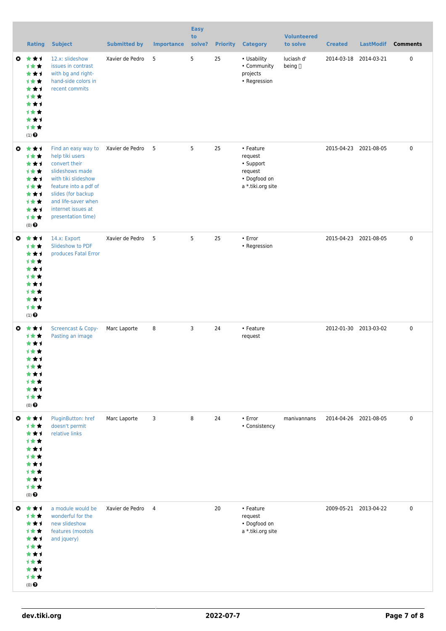|           | <b>Rating</b>                                                                                           | <b>Subject</b>                                                                                                                                                                                                      | <b>Submitted by</b> | <b>Importance</b> | <b>Easy</b><br>to<br>solve? | <b>Priority</b> | <b>Category</b>                                                                   | <b>Volunteered</b><br>to solve | <b>Created</b>        | <b>LastModif</b>      | <b>Comments</b> |
|-----------|---------------------------------------------------------------------------------------------------------|---------------------------------------------------------------------------------------------------------------------------------------------------------------------------------------------------------------------|---------------------|-------------------|-----------------------------|-----------------|-----------------------------------------------------------------------------------|--------------------------------|-----------------------|-----------------------|-----------------|
|           | $0 \pm t1$<br>1★★<br>***<br>1★★<br>***<br>计女女<br>***<br>计女女<br>***<br>1★★<br>$(1)$ $\odot$              | 12.x: slideshow<br>issues in contrast<br>with bg and right-<br>hand-side colors in<br>recent commits                                                                                                                | Xavier de Pedro     | 5                 | 5                           | 25              | • Usability<br>• Community<br>projects<br>• Regression                            | luciash d'<br>being []         |                       | 2014-03-18 2014-03-21 | 0               |
|           | $0 \star \star \star$<br>1★★<br>***<br>1★★<br>***<br>计女女<br>***<br>1★★<br>***<br>计女女<br>$(0)$ $\odot$   | Find an easy way to<br>help tiki users<br>convert their<br>slideshows made<br>with tiki slideshow<br>feature into a pdf of<br>slides (for backup<br>and life-saver when<br>internet issues at<br>presentation time) | Xavier de Pedro 5   |                   | 5                           | 25              | • Feature<br>request<br>• Support<br>request<br>• Dogfood on<br>a *.tiki.org site |                                | 2015-04-23 2021-08-05 |                       | 0               |
|           | $0 \star \star \star$<br>1★★<br>***<br>1★★<br>***<br>计女女<br>***<br>计女女<br>***<br>1★★<br>$(1)$ $\odot$   | 14.x: Export<br>Slideshow to PDF<br>produces Fatal Error                                                                                                                                                            | Xavier de Pedro     | 5                 | 5                           | 25              | • Error<br>• Regression                                                           |                                | 2015-04-23 2021-08-05 |                       | 0               |
|           | $0 \star \star \star$<br>计女女<br>***<br>1★★<br>***<br>计女女<br>* * 1<br>计女女<br>***<br>计女女<br>$(0)$ $\odot$ | <b>Screencast &amp; Copy-</b><br>Pasting an image                                                                                                                                                                   | Marc Laporte        | 8                 | 3                           | 24              | • Feature<br>request                                                              |                                | 2012-01-30 2013-03-02 |                       | 0               |
| $\bullet$ | 大女子<br>计女女<br>***<br>1★★<br>***<br>计女女<br>***<br>计女女<br>***<br>计女女<br>$(0)$ $\odot$                     | PluginButton: href<br>doesn't permit<br>relative links                                                                                                                                                              | Marc Laporte        | 3                 | 8                           | 24              | • Error<br>• Consistency                                                          | manivannans                    |                       | 2014-04-26 2021-08-05 | 0               |
| $\bullet$ | ***<br>计女女<br>***<br>1★★<br>***<br>1★★<br>***<br>计女女<br>***<br>计女女<br>$(0)$ $\odot$                     | a module would be<br>wonderful for the<br>new slideshow<br>features (mootols<br>and jquery)                                                                                                                         | Xavier de Pedro     | 4                 |                             | 20              | • Feature<br>request<br>• Dogfood on<br>a *.tiki.org site                         |                                |                       | 2009-05-21 2013-04-22 | 0               |